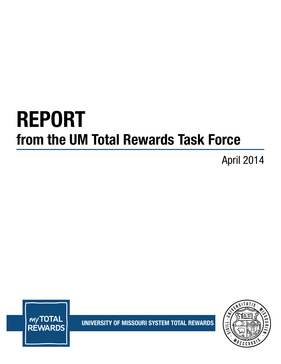# REPORT from the UM Total Rewards Task Force

April 2014



UNIVERSITY OF MISSOURI SYSTEM TOTAL REWARDS

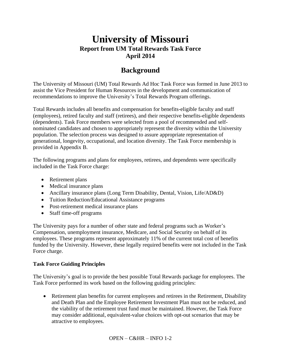# **University of Missouri Report from UM Total Rewards Task Force April 2014**

# **Background**

The University of Missouri (UM) Total Rewards Ad Hoc Task Force was formed in June 2013 to assist the Vice President for Human Resources in the development and communication of recommendations to improve the University's Total Rewards Program offerings.

Total Rewards includes all benefits and compensation for benefits-eligible faculty and staff (employees), retired faculty and staff (retirees), and their respective benefits-eligible dependents (dependents). Task Force members were selected from a pool of recommended and selfnominated candidates and chosen to appropriately represent the diversity within the University population. The selection process was designed to assure appropriate representation of generational, longevity, occupational, and location diversity. The Task Force membership is provided in Appendix B.

The following programs and plans for employees, retirees, and dependents were specifically included in the Task Force charge:

- Retirement plans
- Medical insurance plans
- Ancillary insurance plans (Long Term Disability, Dental, Vision, Life/AD&D)
- Tuition Reduction/Educational Assistance programs
- Post-retirement medical insurance plans
- Staff time-off programs

The University pays for a number of other state and federal programs such as Worker's Compensation, unemployment insurance, Medicare, and Social Security on behalf of its employees. These programs represent approximately 11% of the current total cost of benefits funded by the University. However, these legally required benefits were not included in the Task Force charge.

## **Task Force Guiding Principles**

The University's goal is to provide the best possible Total Rewards package for employees. The Task Force performed its work based on the following guiding principles:

 Retirement plan benefits for current employees and retirees in the Retirement, Disability and Death Plan and the Employee Retirement Investment Plan must not be reduced, and the viability of the retirement trust fund must be maintained. However, the Task Force may consider additional, equivalent-value choices with opt-out scenarios that may be attractive to employees.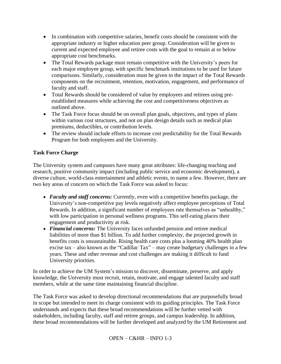- In combination with competitive salaries, benefit costs should be consistent with the appropriate industry or higher education peer group. Consideration will be given to current and expected employee and retiree costs with the goal to remain at or below appropriate cost benchmarks.
- The Total Rewards package must remain competitive with the University's peers for each major employee group, with specific benchmark institutions to be used for future comparisons. Similarly, consideration must be given to the impact of the Total Rewards components on the recruitment, retention, motivation, engagement, and performance of faculty and staff.
- Total Rewards should be considered of value by employees and retirees using preestablished measures while achieving the cost and competitiveness objectives as outlined above.
- The Task Force focus should be on overall plan goals, objectives, and types of plans within various cost structures, and not on plan design details such as medical plan premiums, deductibles, or contribution levels.
- The review should include efforts to increase cost predictability for the Total Rewards Program for both employees and the University.

# **Task Force Charge**

The University system and campuses have many great attributes: life-changing teaching and research, positive community impact (including public service and economic development), a diverse culture, world-class entertainment and athletic events, to name a few. However, there are two key areas of concern on which the Task Force was asked to focus:

- *Faculty and staff concerns:* Currently, even with a competitive benefits package, the University's non-competitive pay levels negatively affect employee perceptions of Total Rewards. In addition, a significant number of employees rate themselves as "unhealthy," with low participation in personal wellness programs. This self-rating places their engagement and productivity at risk.
- *Financial concerns:* The University faces unfunded pension and retiree medical liabilities of more than \$1 billion. To add further complexity, the projected growth in benefits costs is unsustainable. Rising health care costs plus a looming 40% health plan excise tax – also known as the "Cadillac Tax" – may create budgetary challenges in a few years. These and other revenue and cost challenges are making it difficult to fund University priorities.

In order to achieve the UM System's mission to discover, disseminate, preserve, and apply knowledge, the University must recruit, retain, motivate, and engage talented faculty and staff members, while at the same time maintaining financial discipline.

The Task Force was asked to develop directional recommendations that are purposefully broad in scope but intended to meet its charge consistent with its guiding principles. The Task Force understands and expects that these broad recommendations will be further vetted with stakeholders, including faculty, staff and retiree groups, and campus leadership. In addition, these broad recommendations will be further developed and analyzed by the UM Retirement and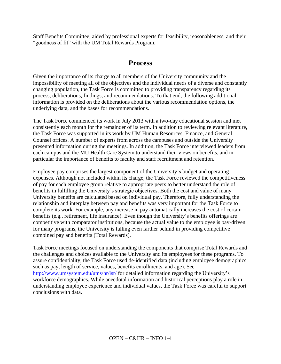Staff Benefits Committee, aided by professional experts for feasibility, reasonableness, and their "goodness of fit" with the UM Total Rewards Program.

# **Process**

Given the importance of its charge to all members of the University community and the impossibility of meeting all of the objectives and the individual needs of a diverse and constantly changing population, the Task Force is committed to providing transparency regarding its process, deliberations, findings, and recommendations. To that end, the following additional information is provided on the deliberations about the various recommendation options, the underlying data, and the bases for recommendations.

The Task Force commenced its work in July 2013 with a two-day educational session and met consistently each month for the remainder of its term. In addition to reviewing relevant literature, the Task Force was supported in its work by UM Human Resources, Finance, and General Counsel offices. A number of experts from across the campuses and outside the University presented information during the meetings. In addition, the Task Force interviewed leaders from each campus and the MU Health Care System to understand their views on benefits, and in particular the importance of benefits to faculty and staff recruitment and retention.

Employee pay comprises the largest component of the University's budget and operating expenses. Although not included within its charge, the Task Force reviewed the competitiveness of pay for each employee group relative to appropriate peers to better understand the role of benefits in fulfilling the University's strategic objectives. Both the cost and value of many University benefits are calculated based on individual pay. Therefore, fully understanding the relationship and interplay between pay and benefits was very important for the Task Force to complete its work. For example, any increase in pay automatically increases the cost of certain benefits (e.g., retirement, life insurance). Even though the University's benefits offerings are competitive with comparator institutions, because the actual value to the employee is pay-driven for many programs, the University is falling even farther behind in providing competitive combined pay and benefits (Total Rewards).

Task Force meetings focused on understanding the components that comprise Total Rewards and the challenges and choices available to the University and its employees for these programs. To assure confidentiality, the Task Force used de-identified data (including employee demographics such as pay, length of service, values, benefits enrollments, and age). See <http://www.umsystem.edu/ums/hr/isr/> for detailed information regarding the University's workforce demographics. While anecdotal information and historical perceptions play a role in understanding employee experience and individual values, the Task Force was careful to support conclusions with data.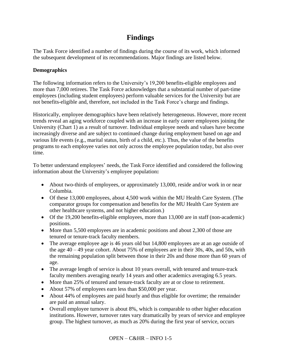# **Findings**

The Task Force identified a number of findings during the course of its work, which informed the subsequent development of its recommendations. Major findings are listed below.

# **Demographics**

The following information refers to the University's 19,200 benefits-eligible employees and more than 7,000 retirees. The Task Force acknowledges that a substantial number of part-time employees (including student employees) perform valuable services for the University but are not benefits-eligible and, therefore, not included in the Task Force's charge and findings.

Historically, employee demographics have been relatively heterogeneous. However, more recent trends reveal an aging workforce coupled with an increase in early career employees joining the University (Chart 1) as a result of turnover. Individual employee needs and values have become increasingly diverse and are subject to continued change during employment based on age and various life events (e.g., marital status, birth of a child, etc.). Thus, the value of the benefits programs to each employee varies not only across the employee population today, but also over time.

To better understand employees' needs, the Task Force identified and considered the following information about the University's employee population**:**

- About two-thirds of employees, or approximately 13,000, reside and/or work in or near Columbia.
- Of these 13,000 employees, about 4,500 work within the MU Health Care System. (The comparator groups for compensation and benefits for the MU Health Care System are other healthcare systems, and not higher education.)
- Of the 19,200 benefits-eligible employees, more than 13,000 are in staff (non-academic) positions.
- More than 5,500 employees are in academic positions and about 2,300 of those are tenured or tenure-track faculty members.
- The average employee age is 46 years old but 14,800 employees are at an age outside of the age  $40 - 49$  year cohort. About 75% of employees are in their 30s, 40s, and 50s, with the remaining population split between those in their 20s and those more than 60 years of age.
- The average length of service is about 10 years overall, with tenured and tenure-track faculty members averaging nearly 14 years and other academics averaging 6.5 years.
- More than 25% of tenured and tenure-track faculty are at or close to retirement.
- About 57% of employees earn less than \$50,000 per year.
- About 44% of employees are paid hourly and thus eligible for overtime; the remainder are paid an annual salary.
- Overall employee turnover is about 8%, which is comparable to other higher education institutions. However, turnover rates vary dramatically by years of service and employee group. The highest turnover, as much as 20% during the first year of service, occurs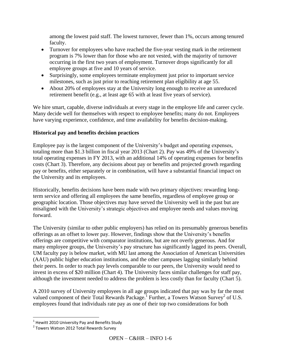among the lowest paid staff. The lowest turnover, fewer than 1%, occurs among tenured faculty.

- Turnover for employees who have reached the five-year vesting mark in the retirement program is 7% lower than for those who are not vested, with the majority of turnover occurring in the first two years of employment. Turnover drops significantly for all employee groups at five and 10 years of service.
- Surprisingly, some employees terminate employment just prior to important service milestones, such as just prior to reaching retirement plan eligibility at age 55.
- About 20% of employees stay at the University long enough to receive an unreduced retirement benefit (e.g., at least age 65 with at least five years of service).

We hire smart, capable, diverse individuals at every stage in the employee life and career cycle. Many decide well for themselves with respect to employee benefits; many do not. Employees have varying experience, confidence, and time availability for benefits decision-making.

# **Historical pay and benefits decision practices**

Employee pay is the largest component of the University's budget and operating expenses, totaling more than \$1.3 billion in fiscal year 2013 (Chart 2). Pay was 49% of the University's total operating expenses in FY 2013, with an additional 14% of operating expenses for benefits costs (Chart 3). Therefore, any decisions about pay or benefits and projected growth regarding pay or benefits, either separately or in combination, will have a substantial financial impact on the University and its employees.

Historically, benefits decisions have been made with two primary objectives: rewarding longterm service and offering all employees the same benefits, regardless of employee group or geographic location. Those objectives may have served the University well in the past but are misaligned with the University's strategic objectives and employee needs and values moving forward.

The University (similar to other public employers) has relied on its presumably generous benefits offerings as an offset to lower pay. However, findings show that the University's benefits offerings are competitive with comparator institutions, but are not overly generous. And for many employee groups, the University's pay structure has significantly lagged its peers. Overall, UM faculty pay is below market, with MU last among the Association of American Universities (AAU) public higher education institutions, and the other campuses lagging similarly behind their peers. In order to reach pay levels comparable to our peers, the University would need to invest in excess of \$20 million (Chart 4). The University faces similar challenges for staff pay, although the investment needed to address the problem is less costly than for faculty (Chart 5).

A 2010 survey of University employees in all age groups indicated that pay was by far the most valued component of their Total Rewards Package.<sup>1</sup> Further, a Towers Watson Survey<sup>2</sup> of U.S. employees found that individuals rate pay as one of their top two considerations for both

 $\overline{\phantom{a}}$ 

 $^1$  Hewitt 2010 University Pay and Benefits Study

<sup>&</sup>lt;sup>2</sup> Towers Watson 2012 Total Rewards Survey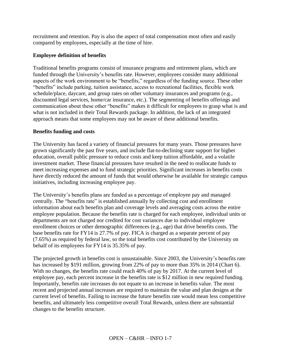recruitment and retention. Pay is also the aspect of total compensation most often and easily compared by employees, especially at the time of hire.

# **Employee definition of benefits**

Traditional benefits programs consist of insurance programs and retirement plans, which are funded through the University's benefits rate. However, employees consider many additional aspects of the work environment to be "benefits," regardless of the funding source. These other "benefits" include parking, tuition assistance, access to recreational facilities, flexible work schedule/place, daycare, and group rates on other voluntary insurances and programs (e.g., discounted legal services, home/car insurance, etc.). The segmenting of benefits offerings and communication about these other "benefits" makes it difficult for employees to grasp what is and what is not included in their Total Rewards package. In addition, the lack of an integrated approach means that some employees may not be aware of these additional benefits.

## **Benefits funding and costs**

The University has faced a variety of financial pressures for many years. Those pressures have grown significantly the past five years, and include flat-to-declining state support for higher education, overall public pressure to reduce costs and keep tuition affordable, and a volatile investment market. These financial pressures have resulted in the need to reallocate funds to meet increasing expenses and to fund strategic priorities. Significant increases in benefits costs have directly reduced the amount of funds that would otherwise be available for strategic campus initiatives, including increasing employee pay.

The University's benefits plans are funded as a percentage of employee pay and managed centrally. The "benefits rate" is established annually by collecting cost and enrollment information about each benefits plan and coverage levels and averaging costs across the entire employee population. Because the benefits rate is charged for each employee, individual units or departments are not charged nor credited for cost variances due to individual employee enrollment choices or other demographic differences (e.g., age) that drive benefits costs. The base benefits rate for FY14 is 27.7% of pay. FICA is charged as a separate percent of pay (7.65%) as required by federal law, so the total benefits cost contributed by the University on behalf of its employees for FY14 is 35.35% of pay.

The projected growth in benefits cost is unsustainable. Since 2003, the University's benefits rate has increased by \$191 million, growing from 22% of pay to more than 35% in 2014 (Chart 6). With no changes, the benefits rate could reach 40% of pay by 2017. At the current level of employee pay, each percent increase in the benefits rate is \$12 million in new required funding. Importantly, benefits rate increases do not equate to an increase in benefits value. The most recent and projected annual increases are required to maintain the value and plan designs at the current level of benefits. Failing to increase the future benefits rate would mean less competitive benefits, and ultimately less competitive overall Total Rewards, unless there are substantial changes to the benefits structure.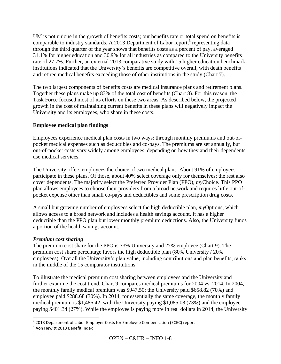UM is not unique in the growth of benefits costs; our benefits rate or total spend on benefits is comparable to industry standards. A 2013 Department of Labor report,<sup>3</sup> representing data through the third quarter of the year shows that benefits costs as a percent of pay, averaged 31.1% for higher education and 30.9% for all industries as compared to the University benefits rate of 27.7%. Further, an external 2013 comparative study with 15 higher education benchmark institutions indicated that the University's benefits are competitive overall, with death benefits and retiree medical benefits exceeding those of other institutions in the study (Chart 7).

The two largest components of benefits costs are medical insurance plans and retirement plans. Together these plans make up 83% of the total cost of benefits (Chart 8). For this reason, the Task Force focused most of its efforts on these two areas. As described below, the projected growth in the cost of maintaining current benefits in these plans will negatively impact the University and its employees, who share in these costs.

# **Employee medical plan findings**

Employees experience medical plan costs in two ways: through monthly premiums and out-ofpocket medical expenses such as deductibles and co-pays. The premiums are set annually, but out-of-pocket costs vary widely among employees, depending on how they and their dependents use medical services.

The University offers employees the choice of two medical plans. About 91% of employees participate in these plans. Of those, about 40% select coverage only for themselves; the rest also cover dependents. The majority select the Preferred Provider Plan (PPO), *my*Choice. This PPO plan allows employees to choose their providers from a broad network and requires little out-ofpocket expense other than small co-pays and deductibles and some prescription drug costs.

A small but growing number of employees select the high deductible plan, *my*Options, which allows access to a broad network and includes a health savings account. It has a higher deductible than the PPO plan but lower monthly premium deductions. Also, the University funds a portion of the health savings account.

## *Premium cost sharing*

The premium cost share for the PPO is 73% University and 27% employee (Chart 9). The premium cost share percentage favors the high deductible plan (80% University / 20% employees). Overall the University's plan value, including contributions and plan benefits, ranks in the middle of the 15 comparator institutions. 4

To illustrate the medical premium cost sharing between employees and the University and further examine the cost trend, Chart 9 compares medical premiums for 2004 vs. 2014. In 2004, the monthly family medical premium was \$947.50: the University paid \$658.82 (70%) and employee paid \$288.68 (30%). In 2014, for essentially the same coverage, the monthly family medical premium is \$1,486.42, with the University paying \$1,085.08 (73%) and the employee paying \$401.34 (27%). While the employee is paying more in real dollars in 2014, the University

 3 2013 Department of Labor Employer Costs for Employee Compensation (ECEC) report

<sup>4</sup> Aon Hewitt 2013 Benefit Index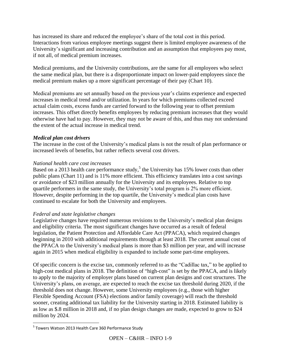has increased its share and reduced the employee's share of the total cost in this period. Interactions from various employee meetings suggest there is limited employee awareness of the University's significant and increasing contribution and an assumption that employees pay most, if not all, of medical premium increases.

Medical premiums, and the University contributions, are the same for all employees who select the same medical plan, but there is a disproportionate impact on lower-paid employees since the medical premium makes up a more significant percentage of their pay (Chart 10).

Medical premiums are set annually based on the previous year's claims experience and expected increases in medical trend and/or utilization. In years for which premiums collected exceed actual claim costs, excess funds are carried forward to the following year to offset premium increases. This offset directly benefits employees by reducing premium increases that they would otherwise have had to pay. However, they may not be aware of this, and thus may not understand the extent of the actual increase in medical trend.

## *Medical plan cost drivers*

The increase in the cost of the University's medical plans is not the result of plan performance or increased levels of benefits, but rather reflects several cost drivers.

# *National health care cost increases*

Based on a 2013 health care performance study,<sup>5</sup> the University has 15% lower costs than other public plans (Chart 11) and is 11% more efficient. This efficiency translates into a cost savings or avoidance of \$23 million annually for the University and its employees. Relative to top quartile performers in the same study, the University's total program is 2% more efficient. However, despite performing in the top quartile, the University's medical plan costs have continued to escalate for both the University and employees.

## *Federal and state legislative changes*

Legislative changes have required numerous revisions to the University's medical plan designs and eligibility criteria. The most significant changes have occurred as a result of federal legislation, the Patient Protection and Affordable Care Act (PPACA), which required changes beginning in 2010 with additional requirements through at least 2018. The current annual cost of the PPACA to the University's medical plans is more than \$3 million per year, and will increase again in 2015 when medical eligibility is expanded to include some part-time employees.

Of specific concern is the excise tax, commonly referred to as the "Cadillac tax," to be applied to high-cost medical plans in 2018. The definition of "high-cost" is set by the PPACA, and is likely to apply to the majority of employer plans based on current plan designs and cost structures. The University's plans, on average, are expected to reach the excise tax threshold during 2020, if the threshold does not change. However, some University employees (e.g., those with higher Flexible Spending Account (FSA) elections and/or family coverage) will reach the threshold sooner, creating additional tax liability for the University starting in 2018. Estimated liability is as low as \$.8 million in 2018 and, if no plan design changes are made, expected to grow to \$24 million by 2024.

 $\overline{a}$ <sup>5</sup> Towers Watson 2013 Health Care 360 Performance Study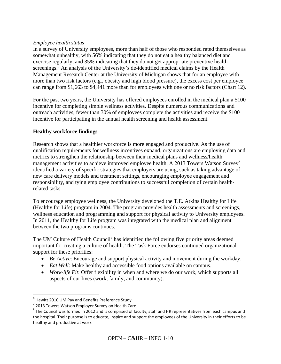#### *Employee health status*

In a survey of University employees, more than half of those who responded rated themselves as somewhat unhealthy, with 56% indicating that they do not eat a healthy balanced diet and exercise regularly, and 35% indicating that they do not get appropriate preventive health screenings.<sup>6</sup> An analysis of the University's de-identified medical claims by the Health Management Research Center at the University of Michigan shows that for an employee with more than two risk factors (e.g., obesity and high blood pressure), the excess cost per employee can range from \$1,663 to \$4,441 more than for employees with one or no risk factors (Chart 12).

For the past two years, the University has offered employees enrolled in the medical plan a \$100 incentive for completing simple wellness activities. Despite numerous communications and outreach activities, fewer than 30% of employees complete the activities and receive the \$100 incentive for participating in the annual health screening and health assessment.

## **Healthy workforce findings**

Research shows that a healthier workforce is more engaged and productive. As the use of qualification requirements for wellness incentives expand, organizations are employing data and metrics to strengthen the relationship between their medical plans and wellness/health management activities to achieve improved employee health. A 2013 Towers Watson Survey<sup>7</sup> identified a variety of specific strategies that employers are using, such as taking advantage of new care delivery models and treatment settings, encouraging employee engagement and responsibility, and tying employee contributions to successful completion of certain healthrelated tasks.

To encourage employee wellness, the University developed the T.E. Atkins Healthy for Life (Healthy for Life) program in 2004. The program provides health assessments and screenings, wellness education and programming and support for physical activity to University employees. In 2011, the Healthy for Life program was integrated with the medical plan and alignment between the two programs continues.

The UM Culture of Health Council<sup>8</sup> has identified the following five priority areas deemed important for creating a culture of health. The Task Force endorses continued organizational support for these priorities:

- *Be Active*: Encourage and support physical activity and movement during the workday.
- *Eat Well*: Make healthy and accessible food options available on campus.
- *Work-life Fit*: Offer flexibility in when and where we do our work, which supports all aspects of our lives (work, family, and community).

 6 Hewitt 2010 UM Pay and Benefits Preference Study

<sup>&</sup>lt;sup>7</sup> 2013 Towers Watson Employer Survey on Health Care

 $^8$  The Council was formed in 2012 and is comprised of faculty, staff and HR representatives from each campus and the hospital. Their purpose is to educate, inspire and support the employees of the University in their efforts to be healthy and productive at work.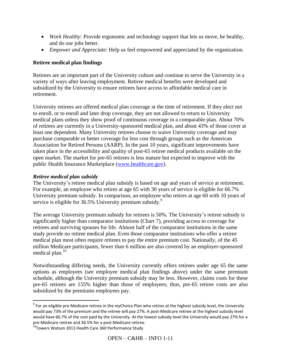- *Work Healthy:* Provide ergonomic and technology support that lets us move, be healthy, and do our jobs better.
- *Empower and Appreciate*: Help us feel empowered and appreciated by the organization.

# **Retiree medical plan findings**

Retirees are an important part of the University culture and continue to serve the University in a variety of ways after leaving employment. Retiree medical benefits were developed and subsidized by the University to ensure retirees have access to affordable medical care in retirement.

University retirees are offered medical plan coverage at the time of retirement. If they elect not to enroll, or to enroll and later drop coverage, they are not allowed to return to University medical plans unless they show proof of continuous coverage in a comparable plan. About 70% of retirees are currently in a University-sponsored medical plan, and about 43% of those cover at least one dependent. Many University retirees choose to waive University coverage and may purchase comparable or better coverage for less cost through groups such as the American Association for Retired Persons (AARP). In the past 10 years, significant improvements have taken place in the accessibility and quality of post-65 retiree medical products available on the open market. The market for pre-65 retirees is less mature but expected to improve with the public Health Insurance Marketplace [\(www.healthcare.gov\)](http://www.healthcare.gov/).

## *Retiree medical plan subsidy*

 $\overline{\phantom{a}}$ 

The University's retiree medical plan subsidy is based on age and years of service at retirement. For example, an employee who retires at age 65 with 30 years of service is eligible for 66.7% University premium subsidy. In comparison, an employee who retires at age 60 with 10 years of service is eligible for 36.5% University premium subsidy.<sup>9</sup>

The average University premium subsidy for retirees is 50%. The University's retiree subsidy is significantly higher than comparator institutions (Chart 7), providing access to coverage for retirees and surviving spouses for life. Almost half of the comparator institutions in the same study provide no retiree medical plan. Even those comparator institutions who offer a retiree medical plan most often require retirees to pay the entire premium cost. Nationally, of the 45 million Medicare participants, fewer than 6 million are also covered by an employer-sponsored medical plan.<sup>10</sup>

Notwithstanding differing needs, the University currently offers retirees under age 65 the same options as employees (see employee medical plan findings above) under the same premium schedule, although the University premium subsidy may be less. However, claims costs for these pre-65 retirees are 155% higher than those of employees; thus, pre-65 retiree costs are also subsidized by the premiums employees pay.

<sup>9</sup> For an eligible pre-Medicare retiree in the *my*Choice Plan who retires at the highest subsidy level, the University would pay 73% of the premium and the retiree will pay 27%. A post-Medicare retiree at the highest subsidy level would have 66.7% of the cost paid by the University. At the lowest subsidy level the University would pay 27% for a pre-Medicare retiree and 36.5% for a post-Medicare retiree.

<sup>&</sup>lt;sup>10</sup>Towers Watson 2013 Health Care 360 Performance Study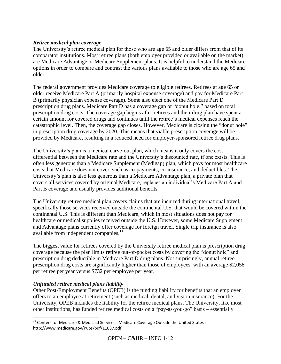## *Retiree medical plan coverage*

The University's retiree medical plan for those who are age 65 and older differs from that of its comparator institutions. Most retiree plans (both employer provided or available on the market) are Medicare Advantage or Medicare Supplement plans. It is helpful to understand the Medicare options in order to compare and contrast the various plans available to those who are age 65 and older.

The federal government provides Medicare coverage to eligible retirees. Retirees at age 65 or older receive Medicare Part A (primarily hospital expense coverage) and pay for Medicare Part B (primarily physician expense coverage). Some also elect one of the Medicare Part D prescription drug plans. Medicare Part D has a coverage gap or "donut hole," based on total prescription drug costs. The coverage gap begins after retirees and their drug plan have spent a certain amount for covered drugs and continues until the retiree's medical expenses reach the catastrophic level. Then, the coverage gap closes. However, Medicare is closing the "donut hole" in prescription drug coverage by 2020. This means that viable prescription coverage will be provided by Medicare, resulting in a reduced need for employer-sponsored retiree drug plans.

The University's plan is a medical carve-out plan, which means it only covers the cost differential between the Medicare rate and the University's discounted rate, if one exists. This is often less generous than a Medicare Supplement (Medigap) plan, which pays for most healthcare costs that Medicare does not cover, such as co-payments, co-insurance, and deductibles. The University's plan is also less generous than a Medicare Advantage plan, a private plan that covers all services covered by original Medicare, replaces an individual's Medicare Part A and Part B coverage and usually provides additional benefits.

The University retiree medical plan covers claims that are incurred during international travel, specifically those services received outside the continental U.S. that would be covered within the continental U.S. This is different than Medicare, which in most situations does not pay for healthcare or medical supplies received outside the U.S. However, some Medicare Supplement and Advantage plans currently offer coverage for foreign travel. Single trip insurance is also available from independent companies.<sup>11</sup>

The biggest value for retirees covered by the University retiree medical plan is prescription drug coverage because the plan limits retiree out-of-pocket costs by covering the "donut hole" and prescription drug deductible in Medicare Part D drug plans. Not surprisingly, annual retiree prescription drug costs are significantly higher than those of employees, with an average \$2,058 per retiree per year versus \$732 per employee per year.

## *Unfunded retiree medical plans liability*

Other Post-Employment Benefits (OPEB) is the funding liability for benefits that an employer offers to an employee at retirement (such as medical, dental, and vision insurance). For the University, OPEB includes the liability for the retiree medical plans. The University, like most other institutions, has funded retiree medical costs on a "pay-as-you-go" basis – essentially

 $\overline{\phantom{a}}$  $11$  Centers for Medicare & Medicaid Services: Medicare Coverage Outside the United States http://www.medicare.gov/Pubs/pdf/11037.pdf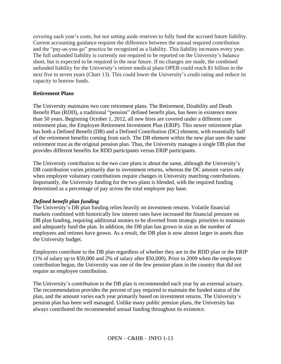covering each year's costs, but not setting aside reserves to fully fund the accrued future liability. Current accounting guidance requires the difference between the annual required contribution and the "pay-as-you-go" practice be recognized as a liability. This liability increases every year. The full unfunded liability is currently not required to be reported on the University's balance sheet, but is expected to be required in the near future. If no changes are made, the combined unfunded liability for the University's retiree medical plans OPEB could reach \$1 billion in the next five to seven years (Chart 13). This could lower the University's credit rating and reduce its capacity to borrow funds.

## **Retirement Plans**

The University maintains two core retirement plans. The Retirement, Disability and Death Benefit Plan (RDD), a traditional "pension" defined benefit plan, has been in existence more than 50 years. Beginning October 1, 2012, all new hires are covered under a different core retirement plan, the Employee Retirement Investment Plan (ERIP). This newer retirement plan has both a Defined Benefit (DB) and a Defined Contribution (DC) element, with essentially half of the retirement benefits coming from each. The DB element within the new plan uses the same retirement trust as the original pension plan. Thus, the University manages a single DB plan that provides different benefits for RDD participants versus ERIP participants.

The University contribution to the two core plans is about the same, although the University's DB contribution varies primarily due to investment returns, whereas the DC amount varies only when employee voluntary contributions require changes in University matching contributions. Importantly, the University funding for the two plans is blended, with the required funding determined as a percentage of pay across the total employee pay base.

## *Defined benefit plan funding*

The University's DB plan funding relies heavily on investment returns. Volatile financial markets combined with historically low interest rates have increased the financial pressure on DB plan funding, requiring additional monies to be diverted from strategic priorities to maintain and adequately fund the plan. In addition, the DB plan has grown in size as the number of employees and retirees have grown. As a result, the DB plan is now almost larger in assets than the University budget.

Employees contribute to the DB plan regardless of whether they are in the RDD plan or the ERIP (1% of salary up to \$50,000 and 2% of salary after \$50,000). Prior to 2009 when the employee contribution began, the University was one of the few pension plans in the country that did not require an employee contribution.

The University's contribution to the DB plan is recommended each year by an external actuary. The recommendation provides the percent of pay required to maintain the funded status of the plan, and the amount varies each year primarily based on investment returns. The University's pension plan has been well managed. Unlike many public pension plans, the University has always contributed the recommended annual funding throughout its existence.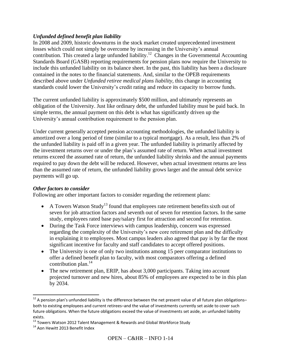# *Unfunded defined benefit plan liability*

In 2008 and 2009, historic downturns in the stock market created unprecedented investment losses which could not simply be overcome by increasing in the University's annual contribution. This created a large unfunded liability.<sup>12</sup> Changes in the Governmental Accounting Standards Board (GASB) reporting requirements for pension plans now require the University to include this unfunded liability on its balance sheet. In the past, this liability has been a disclosure contained in the notes to the financial statements. And, similar to the OPEB requirements described above under *Unfunded retiree medical plans liability,* this change in accounting standards could lower the University's credit rating and reduce its capacity to borrow funds.

The current unfunded liability is approximately \$500 million, and ultimately represents an obligation of the University. Just like ordinary debt, the unfunded liability must be paid back. In simple terms, the annual payment on this debt is what has significantly driven up the University's annual contribution requirement to the pension plan.

Under current generally accepted pension accounting methodologies, the unfunded liability is amortized over a long period of time (similar to a typical mortgage). As a result, less than 2% of the unfunded liability is paid off in a given year. The unfunded liability is primarily affected by the investment returns over or under the plan's assumed rate of return. When actual investment returns exceed the assumed rate of return, the unfunded liability shrinks and the annual payments required to pay down the debt will be reduced. However, when actual investment returns are less than the assumed rate of return, the unfunded liability grows larger and the annual debt service payments will go up.

## *Other factors to consider*

Following are other important factors to consider regarding the retirement plans:

- A Towers Watson Study<sup>13</sup> found that employees rate retirement benefits sixth out of seven for job attraction factors and seventh out of seven for retention factors. In the same study, employees rated base pay/salary first for attraction and second for retention.
- During the Task Force interviews with campus leadership, concern was expressed regarding the complexity of the University's new core retirement plan and the difficulty in explaining it to employees. Most campus leaders also agreed that pay is by far the most significant incentive for faculty and staff candidates to accept offered positions.
- The University is one of only two institutions among 15 peer comparator institutions to offer a defined benefit plan to faculty, with most comparators offering a defined contribution plan. 14
- The new retirement plan, ERIP, has about 3,000 participants. Taking into account projected turnover and new hires, about 85% of employees are expected to be in this plan by 2034.

l

 $12$  A pension plan's unfunded liability is the difference between the net present value of all future plan obligationsboth to existing employees and current retirees–and the value of investments currently set aside to cover such future obligations. When the future obligations exceed the value of investments set aside, an unfunded liability exists.

<sup>&</sup>lt;sup>13</sup> Towers Watson 2012 Talent Management & Rewards and Global Workforce Study

<sup>&</sup>lt;sup>14</sup> Aon Hewitt 2013 Benefit Index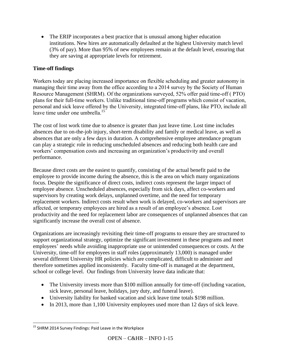• The ERIP incorporates a best practice that is unusual among higher education institutions. New hires are automatically defaulted at the highest University match level (3% of pay). More than 95% of new employees remain at the default level, ensuring that they are saving at appropriate levels for retirement.

# **Time-off findings**

Workers today are placing increased importance on flexible scheduling and greater autonomy in managing their time away from the office according to a 2014 survey by the Society of Human Resource Management (SHRM). Of the organizations surveyed, 52% offer paid time-off ( PTO) plans for their full-time workers. Unlike traditional time-off programs which consist of vacation, personal and sick leave offered by the University, integrated time-off plans, like PTO, include all leave time under one umbrella.<sup>15</sup>

The cost of lost work time due to absence is greater than just leave time. Lost time includes absences due to on-the-job injury, short-term disability and family or medical leave, as well as absences that are only a few days in duration. A comprehensive employee attendance program can play a strategic role in reducing unscheduled absences and reducing both health care and workers' compensation costs and increasing an organization's productivity and overall performance.

Because direct costs are the easiest to quantify, consisting of the actual benefit paid to the employee to provide income during the absence, this is the area on which many organizations focus. Despite the significance of direct costs, indirect costs represent the larger impact of employee absence. Unscheduled absences, especially from sick days, affect co-workers and supervisors by creating work delays, unplanned overtime, and the need for temporary replacement workers. Indirect costs result when work is delayed, co-workers and supervisors are affected, or temporary employees are hired as a result of an employee's absence. Lost productivity and the need for replacement labor are consequences of unplanned absences that can significantly increase the overall cost of absence.

Organizations are increasingly revisiting their time-off programs to ensure they are structured to support organizational strategy, optimize the significant investment in these programs and meet employees' needs while avoiding inappropriate use or unintended consequences or costs. At the University, time-off for employees in staff roles (approximately 13,000) is managed under several different University HR policies which are complicated, difficult to administer and therefore sometimes applied inconsistently. Faculty time-off is managed at the department, school or college level. Our findings from University leave data indicate that:

- The University invests more than \$100 million annually for time-off (including vacation, sick leave, personal leave, holidays, jury duty, and funeral leave).
- University liability for banked vacation and sick leave time totals \$198 million.
- In 2013, more than 1,100 University employees used more than 12 days of sick leave.

 $\overline{a}$ <sup>15</sup> SHRM 2014 Survey Findings: Paid Leave in the Workplace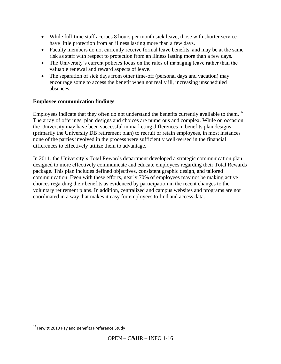- While full-time staff accrues 8 hours per month sick leave, those with shorter service have little protection from an illness lasting more than a few days.
- Faculty members do not currently receive formal leave benefits, and may be at the same risk as staff with respect to protection from an illness lasting more than a few days.
- The University's current policies focus on the rules of managing leave rather than the valuable renewal and reward aspects of leave.
- The separation of sick days from other time-off (personal days and vacation) may encourage some to access the benefit when not really ill, increasing unscheduled absences.

# **Employee communication findings**

Employees indicate that they often do not understand the benefits currently available to them.<sup>16</sup> The array of offerings, plan designs and choices are numerous and complex. While on occasion the University may have been successful in marketing differences in benefits plan designs (primarily the University DB retirement plan) to recruit or retain employees, in most instances none of the parties involved in the process were sufficiently well-versed in the financial differences to effectively utilize them to advantage.

In 2011, the University's Total Rewards department developed a strategic communication plan designed to more effectively communicate and educate employees regarding their Total Rewards package. This plan includes defined objectives, consistent graphic design, and tailored communication. Even with these efforts, nearly 70% of employees may not be making active choices regarding their benefits as evidenced by participation in the recent changes to the voluntary retirement plans. In addition, centralized and campus websites and programs are not coordinated in a way that makes it easy for employees to find and access data.

 $\overline{a}$  $^{16}$  Hewitt 2010 Pay and Benefits Preference Study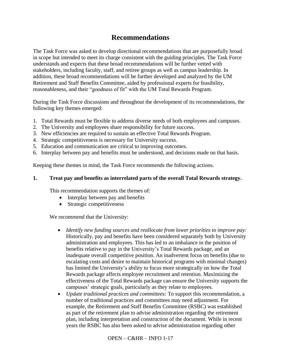# **Recommendations**

The Task Force was asked to develop directional recommendations that are purposefully broad in scope but intended to meet its charge consistent with the guiding principles. The Task Force understands and expects that these broad recommendations will be further vetted with stakeholders, including faculty, staff, and retiree groups as well as campus leadership. In addition, these broad recommendations will be further developed and analyzed by the UM Retirement and Staff Benefits Committee, aided by professional experts for feasibility, reasonableness, and their "goodness of fit" with the UM Total Rewards Program.

During the Task Force discussions and throughout the development of its recommendations, the following key themes emerged:

- 1. Total Rewards must be flexible to address diverse needs of both employees and campuses.
- 2. The University and employees share responsibility for future success.
- 3. New efficiencies are required to sustain an effective Total Rewards Program.
- 4. Strategic competitiveness is necessary for University success.
- 5. Education and communication are critical to improving outcomes.
- 6. Interplay between pay and benefits must be understood, and decisions made on that basis.

Keeping these themes in mind, the Task Force recommends the following actions.

#### **1. Treat pay and benefits as interrelated parts of the overall Total Rewards strategy.**

This recommendation supports the themes of:

- Interplay between pay and benefits
- Strategic competitiveness

We recommend that the University:

- *Identify new funding sources and reallocate from lower priorities to improve pay:* Historically, pay and benefits have been considered separately both by University administration and employees. This has led to an imbalance in the position of benefits relative to pay in the University's Total Rewards package, and an inadequate overall competitive position. An inadvertent focus on benefits (due to escalating costs and desire to maintain historical programs with minimal changes) has limited the University's ability to focus more strategically on how the Total Rewards package affects employee recruitment and retention. Maximizing the effectiveness of the Total Rewards package can ensure the University supports the campuses' strategic goals, particularly as they relate to employees.
- *Update traditional practices and committees:* To support this recommendation, a number of traditional practices and committees may need adjustment. For example, the Retirement and Staff Benefits Committee (RSBC) was established as part of the retirement plan to advise administration regarding the retirement plan, including interpretation and construction of the document. While in recent years the RSBC has also been asked to advise administration regarding other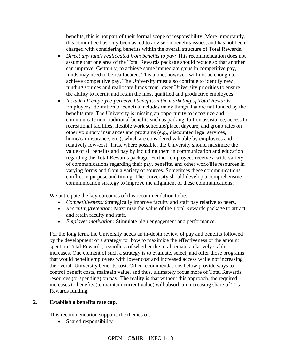benefits, this is not part of their formal scope of responsibility. More importantly, this committee has only been asked to advise on benefits issues, and has not been charged with considering benefits within the overall structure of Total Rewards.

- *Direct any funds reallocated from benefits to pay:* This recommendation does not assume that one area of the Total Rewards package should reduce so that another can improve. Certainly, to achieve some immediate gains in competitive pay, funds may need to be reallocated. This alone, however, will not be enough to achieve competitive pay. The University must also continue to identify new funding sources and reallocate funds from lower University priorities to ensure the ability to recruit and retain the most qualified and productive employees.
- *Include all employee-perceived benefits in the marketing of Total Rewards:* Employees' definition of benefits includes many things that are not funded by the benefits rate. The University is missing an opportunity to recognize and communicate non-traditional benefits such as parking, tuition assistance, access to recreational facilities, flexible work schedule/place, daycare, and group rates on other voluntary insurances and programs (e.g., discounted legal services, home/car insurance, etc.), which are considered valuable by employees and relatively low-cost. Thus, where possible, the University should maximize the value of all benefits and pay by including them in communication and education regarding the Total Rewards package. Further, employees receive a wide variety of communications regarding their pay, benefits, and other work/life resources in varying forms and from a variety of sources. Sometimes these communications conflict in purpose and timing. The University should develop a comprehensive communication strategy to improve the alignment of these communications.

We anticipate the key outcomes of this recommendation to be:

- *Competitiveness:* Strategically improve faculty and staff pay relative to peers.
- *Recruiting/retention:* Maximize the value of the Total Rewards package to attract and retain faculty and staff.
- *Employee motivation:* Stimulate high engagement and performance.

For the long term, the University needs an in-depth review of pay and benefits followed by the development of a strategy for how to maximize the effectiveness of the amount spent on Total Rewards, regardless of whether the total remains relatively stable or increases. One element of such a strategy is to evaluate, select, and offer those programs that would benefit employees with lower cost and increased access while not increasing the overall University benefits cost. Other recommendations below provide ways to control benefit costs, maintain value, and thus, ultimately focus more of Total Rewards resources (or spending) on pay. The reality is that without this approach, the required increases to benefits (to maintain current value) will absorb an increasing share of Total Rewards funding.

# **2. Establish a benefits rate cap.**

This recommendation supports the themes of:

• Shared responsibility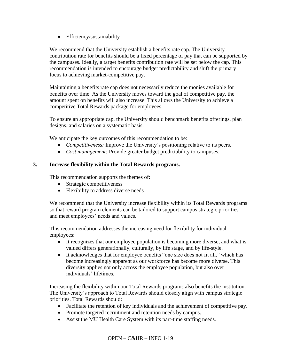• Efficiency/sustainability

We recommend that the University establish a benefits rate cap. The University contribution rate for benefits should be a fixed percentage of pay that can be supported by the campuses. Ideally, a target benefits contribution rate will be set below the cap. This recommendation is intended to encourage budget predictability and shift the primary focus to achieving market-competitive pay.

Maintaining a benefits rate cap does not necessarily reduce the monies available for benefits over time. As the University moves toward the goal of competitive pay, the amount spent on benefits will also increase. This allows the University to achieve a competitive Total Rewards package for employees.

To ensure an appropriate cap, the University should benchmark benefits offerings, plan designs, and salaries on a systematic basis.

We anticipate the key outcomes of this recommendation to be:

- *Competitiveness:* Improve the University's positioning relative to its peers.
- *Cost management:* Provide greater budget predictability to campuses.

# **3. Increase flexibility within the Total Rewards programs.**

This recommendation supports the themes of:

- Strategic competitiveness
- Flexibility to address diverse needs

We recommend that the University increase flexibility within its Total Rewards programs so that reward program elements can be tailored to support campus strategic priorities and meet employees' needs and values.

This recommendation addresses the increasing need for flexibility for individual employees:

- It recognizes that our employee population is becoming more diverse, and what is valued differs generationally, culturally, by life stage, and by life-style.
- It acknowledges that for employee benefits "one size does not fit all," which has become increasingly apparent as our workforce has become more diverse. This diversity applies not only across the employee population, but also over individuals' lifetimes.

Increasing the flexibility within our Total Rewards programs also benefits the institution. The University's approach to Total Rewards should closely align with campus strategic priorities. Total Rewards should:

- Facilitate the retention of key individuals and the achievement of competitive pay.
- Promote targeted recruitment and retention needs by campus.
- Assist the MU Health Care System with its part-time staffing needs.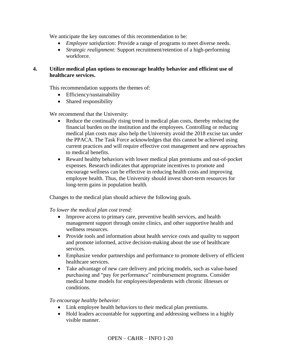We anticipate the key outcomes of this recommendation to be:

- *Employee satisfaction:* Provide a range of programs to meet diverse needs.
- *Strategic realignment:* Support recruitment/retention of a high-performing workforce.

# **4. Utilize medical plan options to encourage healthy behavior and efficient use of healthcare services.**

This recommendation supports the themes of:

- Efficiency/sustainability
- Shared responsibility

We recommend that the University:

- Reduce the continually rising trend in medical plan costs, thereby reducing the financial burden on the institution and the employees. Controlling or reducing medical plan costs may also help the University avoid the 2018 excise tax under the PPACA. The Task Force acknowledges that this cannot be achieved using current practices and will require effective cost management and new approaches to medical benefits.
- Reward healthy behaviors with lower medical plan premiums and out-of-pocket expenses. Research indicates that appropriate incentives to promote and encourage wellness can be effective in reducing health costs and improving employee health. Thus, the University should invest short-term resources for long-term gains in population health.

Changes to the medical plan should achieve the following goals.

*To lower the medical plan cost trend:*

- Improve access to primary care, preventive health services, and health management support through onsite clinics, and other supportive health and wellness resources.
- Provide tools and information about health service costs and quality to support and promote informed, active decision-making about the use of healthcare services.
- Emphasize vendor partnerships and performance to promote delivery of efficient healthcare services.
- Take advantage of new care delivery and pricing models, such as value-based purchasing and "pay for performance" reimbursement programs. Consider medical home models for employees/dependents with chronic illnesses or conditions.

*To encourage healthy behavior:*

- Link employee health behaviors to their medical plan premiums.
- Hold leaders accountable for supporting and addressing wellness in a highly visible manner.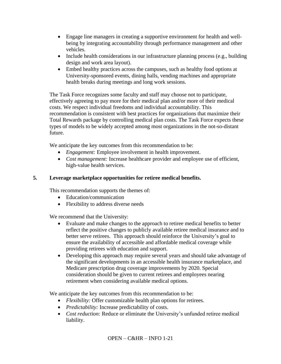- Engage line managers in creating a supportive environment for health and wellbeing by integrating accountability through performance management and other vehicles.
- Include health considerations in our infrastructure planning process (e.g., building design and work area layout).
- Embed healthy practices across the campuses, such as healthy food options at University-sponsored events, dining halls, vending machines and appropriate health breaks during meetings and long work sessions.

The Task Force recognizes some faculty and staff may choose not to participate, effectively agreeing to pay more for their medical plan and/or more of their medical costs. We respect individual freedoms and individual accountability. This recommendation is consistent with best practices for organizations that maximize their Total Rewards package by controlling medical plan costs. The Task Force expects these types of models to be widely accepted among most organizations in the not-so-distant future.

We anticipate the key outcomes from this recommendation to be:

- *Engagement:* Employee involvement in health improvement.
- *Cost management:* Increase healthcare provider and employee use of efficient, high-value health services.

# **5. Leverage marketplace opportunities for retiree medical benefits.**

This recommendation supports the themes of:

- Education/communication
- Flexibility to address diverse needs

We recommend that the University:

- Evaluate and make changes to the approach to retiree medical benefits to better reflect the positive changes to publicly available retiree medical insurance and to better serve retirees. This approach should reinforce the University's goal to ensure the availability of accessible and affordable medical coverage while providing retirees with education and support.
- Developing this approach may require several years and should take advantage of the significant developments in an accessible health insurance marketplace, and Medicare prescription drug coverage improvements by 2020. Special consideration should be given to current retirees and employees nearing retirement when considering available medical options.

We anticipate the key outcomes from this recommendation to be:

- *Flexibility:* Offer customizable health plan options for retirees.
- *Predictability:* Increase predictability of costs.
- *Cost reduction:* Reduce or eliminate the University's unfunded retiree medical liability.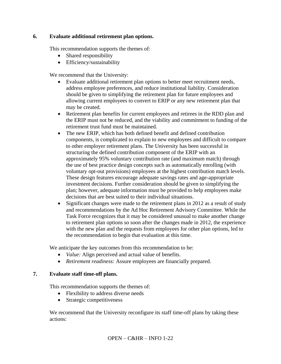# **6. Evaluate additional retirement plan options.**

This recommendation supports the themes of:

- Shared responsibility
- Efficiency/sustainability

We recommend that the University:

- Evaluate additional retirement plan options to better meet recruitment needs, address employee preferences, and reduce institutional liability. Consideration should be given to simplifying the retirement plan for future employees and allowing current employees to convert to ERIP or any new retirement plan that may be created.
- Retirement plan benefits for current employees and retirees in the RDD plan and the ERIP must not be reduced, and the viability and commitment to funding of the retirement trust fund must be maintained.
- The new ERIP, which has both defined benefit and defined contribution components, is complicated to explain to new employees and difficult to compare to other employer retirement plans. The University has been successful in structuring the defined contribution component of the ERIP with an approximately 95% voluntary contribution rate (and maximum match) through the use of best practice design concepts such as automatically enrolling (with voluntary opt-out provisions) employees at the highest contribution match levels. These design features encourage adequate savings rates and age-appropriate investment decisions. Further consideration should be given to simplifying the plan; however, adequate information must be provided to help employees make decisions that are best suited to their individual situations.
- Significant changes were made to the retirement plans in 2012 as a result of study and recommendations by the Ad Hoc Retirement Advisory Committee. While the Task Force recognizes that it may be considered unusual to make another change to retirement plan options so soon after the changes made in 2012, the experience with the new plan and the requests from employees for other plan options, led to the recommendation to begin that evaluation at this time.

We anticipate the key outcomes from this recommendation to be:

- *Value:* Align perceived and actual value of benefits.
- *Retirement readiness:* Assure employees are financially prepared.

## **7. Evaluate staff time-off plans.**

This recommendation supports the themes of:

- Flexibility to address diverse needs
- Strategic competitiveness

We recommend that the University reconfigure its staff time-off plans by taking these actions: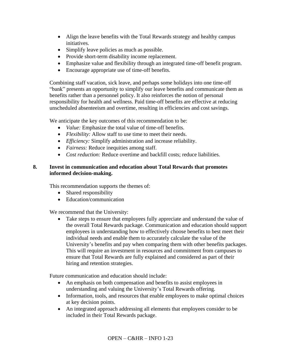- Align the leave benefits with the Total Rewards strategy and healthy campus initiatives.
- Simplify leave policies as much as possible.
- Provide short-term disability income replacement.
- Emphasize value and flexibility through an integrated time-off benefit program.
- Encourage appropriate use of time-off benefits.

Combining staff vacation, sick leave, and perhaps some holidays into one time-off "bank" presents an opportunity to simplify our leave benefits and communicate them as benefits rather than a personnel policy. It also reinforces the notion of personal responsibility for health and wellness. Paid time-off benefits are effective at reducing unscheduled absenteeism and overtime, resulting in efficiencies and cost savings.

We anticipate the key outcomes of this recommendation to be:

- *Value:* Emphasize the total value of time-off benefits.
- *Flexibility:* Allow staff to use time to meet their needs.
- *Efficiency:* Simplify administration and increase reliability.
- *Fairness:* Reduce inequities among staff.
- *Cost reduction:* Reduce overtime and backfill costs: reduce liabilities.

# **8. Invest in communication and education about Total Rewards that promotes informed decision-making.**

This recommendation supports the themes of:

- Shared responsibility
- Education/communication

We recommend that the University:

• Take steps to ensure that employees fully appreciate and understand the value of the overall Total Rewards package. Communication and education should support employees in understanding how to effectively choose benefits to best meet their individual needs and enable them to accurately calculate the value of the University's benefits and pay when comparing them with other benefits packages. This will require an investment in resources and commitment from campuses to ensure that Total Rewards are fully explained and considered as part of their hiring and retention strategies.

Future communication and education should include:

- An emphasis on both compensation and benefits to assist employees in understanding and valuing the University's Total Rewards offering.
- Information, tools, and resources that enable employees to make optimal choices at key decision points.
- An integrated approach addressing all elements that employees consider to be included in their Total Rewards package.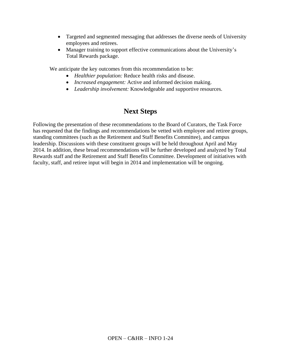- Targeted and segmented messaging that addresses the diverse needs of University employees and retirees.
- Manager training to support effective communications about the University's Total Rewards package.

We anticipate the key outcomes from this recommendation to be:

- *Healthier population:* Reduce health risks and disease.
- *Increased engagement:* Active and informed decision making.
- *Leadership involvement:* Knowledgeable and supportive resources.

# **Next Steps**

Following the presentation of these recommendations to the Board of Curators, the Task Force has requested that the findings and recommendations be vetted with employee and retiree groups, standing committees (such as the Retirement and Staff Benefits Committee), and campus leadership. Discussions with these constituent groups will be held throughout April and May 2014. In addition, these broad recommendations will be further developed and analyzed by Total Rewards staff and the Retirement and Staff Benefits Committee. Development of initiatives with faculty, staff, and retiree input will begin in 2014 and implementation will be ongoing.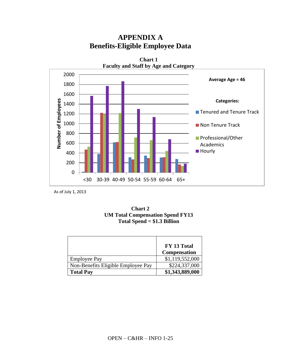

# **APPENDIX A Benefits-Eligible Employee Data**

As of July 1, 2013



|                                    | FY 13 Total<br><b>Compensation</b> |
|------------------------------------|------------------------------------|
| <b>Employee Pay</b>                | \$1,119,552,000                    |
| Non-Benefits Eligible Employee Pay | \$224,337,000                      |
| <b>Total Pay</b>                   | \$1,343,889,000                    |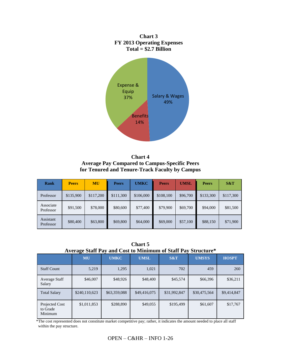

**Chart 4 Average Pay Compared to Campus-Specific Peers for Tenured and Tenure-Track Faculty by Campus**

| Rank                   | <b>Peers</b> | <b>MU</b> | <b>Peers</b> | <b>UMKC</b> | <b>Peers</b> | <b>UMSL</b> | <b>Peers</b> | S&T       |
|------------------------|--------------|-----------|--------------|-------------|--------------|-------------|--------------|-----------|
| Professor              | \$135,900    | \$117,200 | \$111,300    | \$106,000   | \$108,100    | \$96,700    | \$133,300    | \$117,300 |
| Associate<br>Professor | \$91,500     | \$78,000  | \$80,600     | \$77,400    | \$79,900     | \$69,700    | \$94,000     | \$81,500  |
| Assistant<br>Professor | \$80,400     | \$63,800  | \$69,800     | \$64,000    | \$69,000     | \$57,100    | \$88,150     | \$71,900  |

**Chart 5 Average Staff Pay and Cost to Minimum of Staff Pay Structure\***

| $\mathbf{M}$ . The state $\mathbf{M}$<br>and Cost to infinitiatin of Bian I av<br>vuutuv |               |              |              |              |              |              |
|------------------------------------------------------------------------------------------|---------------|--------------|--------------|--------------|--------------|--------------|
|                                                                                          | <b>MU</b>     | <b>UMKC</b>  | <b>UMSL</b>  | S&T          | <b>UMSYS</b> | <b>HOSPT</b> |
| <b>Staff Count</b>                                                                       | 5,219         | 1,295        | 1,021        | 702          | 459          | 260          |
| Average Staff<br>Salary                                                                  | \$46,007      | \$48,926     | \$48,400     | \$45,574     | \$66,396     | \$36,211     |
| <b>Total Salary</b>                                                                      | \$240,110,623 | \$63,359,088 | \$49,416,075 | \$31,992,847 | \$30,475,564 | \$9,414,847  |
| Projected Cost<br>to Grade<br>Minimum                                                    | \$1,011,853   | \$288,890    | \$49,055     | \$195,499    | \$61,607     | \$17,767     |

 \*The cost represented does not constitute market competitive pay; rather, it indicates the amount needed to place all staff within the pay structure.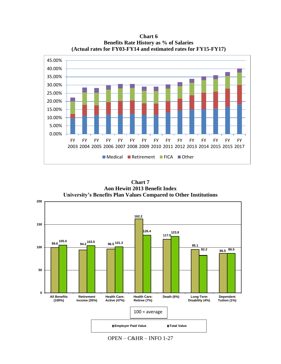

**Chart 6 Benefits Rate History as % of Salaries (Actual rates for FY03-FY14 and estimated rates for FY15-FY17)**

**Chart 7 Aon Hewitt 2013 Benefit Index University's Benefits Plan Values Compared to Other Institutions**



OPEN – C&HR – INFO 1-27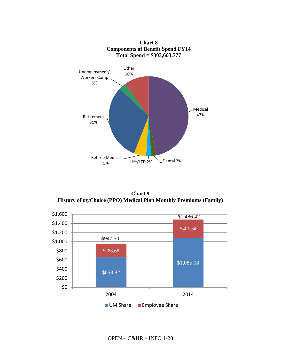

**Chart 9 History of** *my***Choice (PPO) Medical Plan Monthly Premiums (Family)**

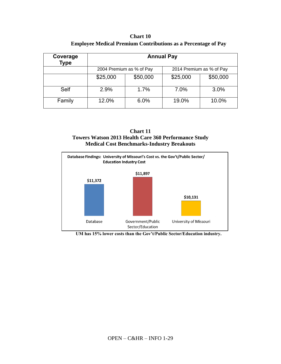**Chart 10 Employee Medical Premium Contributions as a Percentage of Pay**

| Coverage<br>Type | <b>Annual Pay</b>                                    |          |          |          |
|------------------|------------------------------------------------------|----------|----------|----------|
|                  | 2014 Premium as % of Pay<br>2004 Premium as % of Pay |          |          |          |
|                  | \$25,000                                             | \$50,000 | \$25,000 | \$50,000 |
| <b>Self</b>      | 2.9%                                                 | 1.7%     | 7.0%     | 3.0%     |
| Family           | 12.0%                                                | 6.0%     | 19.0%    | 10.0%    |





**UM has 15% lower costs than the Gov't/Public Sector/Education industry.**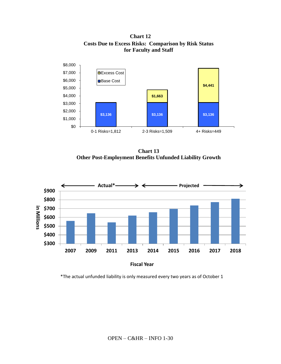**Chart 12 Costs Due to Excess Risks: Comparison by Risk Status for Faculty and Staff**



**Chart 13 Other Post-Employment Benefits Unfunded Liability Growth**



\*The actual unfunded liability is only measured every two years as of October 1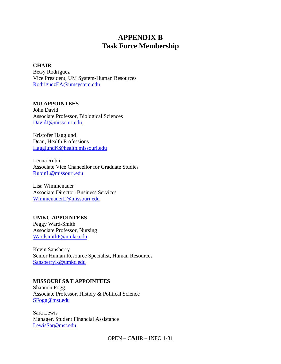# **APPENDIX B Task Force Membership**

#### **CHAIR**

Betsy Rodriguez Vice President, UM System-Human Resources [RodriguezEA@umsystem.edu](mailto:RodriguezEA@umsystem.edu)

#### **MU APPOINTEES**

John David Associate Professor, Biological Sciences [DavidJ@missouri.edu](mailto:DavidJ@missouri.edu)

Kristofer Hagglund Dean, Health Professions [HagglundK@health.missouri.edu](mailto:HagglundK@health.missouri.edu)

Leona Rubin Associate Vice Chancellor for Graduate Studies [RubinL@missouri.edu](mailto:RubinL@missouri.edu)

Lisa Wimmenauer Associate Director, Business Services [WimmenauerL@missouri.edu](mailto:WimmenauerL@missouri.edu)

## **UMKC APPOINTEES**

Peggy Ward-Smith Associate Professor, Nursing [WardsmithP@umkc.edu](mailto:WardsmithP@umkc.edu)

Kevin Sansberry Senior Human Resource Specialist, Human Resources [SansberryK@umkc.edu](mailto:SansberryK@umkc.edu)

## **MISSOURI S&T APPOINTEES**

Shannon Fogg Associate Professor, History & Political Science [SFogg@mst.edu](mailto:SFogg@mst.edu)

Sara Lewis Manager, Student Financial Assistance [LewisSar@mst.edu](mailto:LewisSar@mst.edu)

 $OPEN - C&HR - INFO$  1-31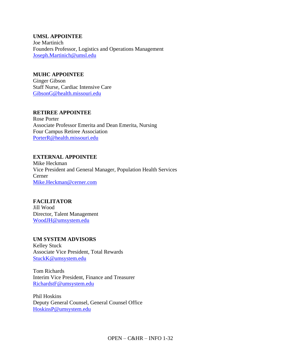**UMSL APPOINTEE** Joe Martinich Founders Professor, Logistics and Operations Management Joseph.Martinich@umsl.edu

#### **MUHC APPOINTEE**

Ginger Gibson Staff Nurse, Cardiac Intensive Care [GibsonG@health.missouri.edu](mailto:GibsonG@health.missouri.edu)

## **RETIREE APPOINTEE**

Rose Porter Associate Professor Emerita and Dean Emerita, Nursing Four Campus Retiree Association [PorterR@health.missouri.edu](mailto:PorterR@health.missouri.edu)

#### **EXTERNAL APPOINTEE**

Mike Heckman Vice President and General Manager, Population Health Services Cerner [Mike.Heckman@cerner.com](mailto:Mike.Heckman@cerner.com)

## **FACILITATOR**

Jill Wood Director, Talent Management [WoodJH@umsystem.edu](mailto:WoodJH@umsystem.edu)

#### **UM SYSTEM ADVISORS**

Kelley Stuck Associate Vice President, Total Rewards [StuckK@umsystem.edu](mailto:StuckK@umsystem.edu)

Tom Richards Interim Vice President, Finance and Treasurer [RichardstF@umsystem.edu](mailto:RichardstF@umsystem.edu)

Phil Hoskins Deputy General Counsel, General Counsel Office [HoskinsP@umsystem.edu](mailto:HoskinsP@umsystem.edu)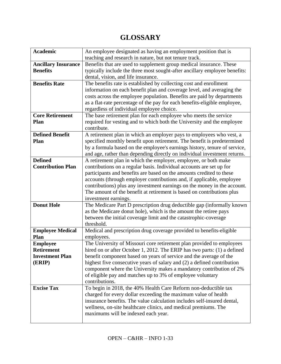# **GLOSSARY**

| <b>Academic</b>            | An employee designated as having an employment position that is                                                                           |
|----------------------------|-------------------------------------------------------------------------------------------------------------------------------------------|
|                            | teaching and research in nature, but not tenure track.                                                                                    |
| <b>Ancillary Insurance</b> | Benefits that are used to supplement group medical insurance. These                                                                       |
| <b>Benefits</b>            | typically include the three most sought-after ancillary employee benefits:                                                                |
|                            | dental, vision, and life insurance.                                                                                                       |
| <b>Benefits Rate</b>       | The benefits rate is established by collecting cost and enrollment                                                                        |
|                            | information on each benefit plan and coverage level, and averaging the                                                                    |
|                            | costs across the employee population. Benefits are paid by departments                                                                    |
|                            | as a flat-rate percentage of the pay for each benefits-eligible employee,                                                                 |
|                            | regardless of individual employee choice.                                                                                                 |
| <b>Core Retirement</b>     | The base retirement plan for each employee who meets the service                                                                          |
| Plan                       | required for vesting and to which both the University and the employee                                                                    |
|                            | contribute.                                                                                                                               |
| <b>Defined Benefit</b>     | A retirement plan in which an employer pays to employees who vest, a                                                                      |
| Plan                       | specified monthly benefit upon retirement. The benefit is predetermined                                                                   |
|                            | by a formula based on the employee's earnings history, tenure of service,                                                                 |
|                            | and age, rather than depending directly on individual investment returns.                                                                 |
| <b>Defined</b>             | A retirement plan in which the employer, employee, or both make                                                                           |
| <b>Contribution Plan</b>   | contributions on a regular basis. Individual accounts are set up for                                                                      |
|                            | participants and benefits are based on the amounts credited to these                                                                      |
|                            | accounts (through employer contributions and, if applicable, employee                                                                     |
|                            | contributions) plus any investment earnings on the money in the account.                                                                  |
|                            | The amount of the benefit at retirement is based on contributions plus                                                                    |
|                            | investment earnings.                                                                                                                      |
| <b>Donut Hole</b>          | The Medicare Part D prescription drug deductible gap (informally known                                                                    |
|                            | as the Medicare donut hole), which is the amount the retiree pays                                                                         |
|                            | between the initial coverage limit and the catastrophic-coverage                                                                          |
|                            | threshold.                                                                                                                                |
| <b>Employee Medical</b>    | Medical and prescription drug coverage provided to benefits-eligible                                                                      |
| Plan                       | employees.                                                                                                                                |
| <b>Employee</b>            | The University of Missouri core retirement plan provided to employees                                                                     |
| <b>Retirement</b>          | hired on or after October 1, 2012. The ERIP has two parts: (1) a defined                                                                  |
| <b>Investment Plan</b>     | benefit component based on years of service and the average of the                                                                        |
| (ERIP)                     | highest five consecutive years of salary and (2) a defined contribution                                                                   |
|                            | component where the University makes a mandatory contribution of 2%                                                                       |
|                            | of eligible pay and matches up to 3% of employee voluntary                                                                                |
|                            | contributions.                                                                                                                            |
| <b>Excise Tax</b>          | To begin in 2018, the 40% Health Care Reform non-deductible tax                                                                           |
|                            | charged for every dollar exceeding the maximum value of health<br>insurance benefits. The value calculation includes self-insured dental, |
|                            | wellness, on-site healthcare clinics, and medical premiums. The                                                                           |
|                            | maximums will be indexed each year.                                                                                                       |
|                            |                                                                                                                                           |
|                            |                                                                                                                                           |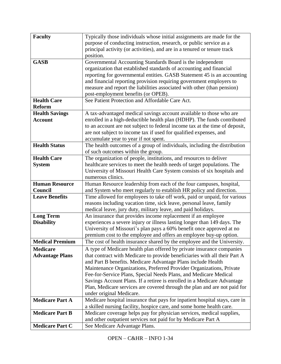| <b>Faculty</b>         | Typically those individuals whose initial assignments are made for the                         |
|------------------------|------------------------------------------------------------------------------------------------|
|                        | purpose of conducting instruction, research, or public service as a                            |
|                        | principal activity (or activities), and are in a tenured or tenure track                       |
|                        | position.                                                                                      |
| <b>GASB</b>            | Governmental Accounting Standards Board is the independent                                     |
|                        | organization that established standards of accounting and financial                            |
|                        | reporting for governmental entities. GASB Statement 45 is an accounting                        |
|                        | and financial reporting provision requiring government employers to                            |
|                        | measure and report the liabilities associated with other (than pension)                        |
|                        | post-employment benefits (or OPEB).                                                            |
| <b>Health Care</b>     | See Patient Protection and Affordable Care Act.                                                |
| <b>Reform</b>          |                                                                                                |
| <b>Health Savings</b>  | A tax-advantaged medical savings account available to those who are                            |
| <b>Account</b>         | enrolled in a high-deductible health plan (HDHP). The funds contributed                        |
|                        | to an account are not subject to federal income tax at the time of deposit,                    |
|                        | are not subject to income tax if used for qualified expenses, and                              |
|                        | accumulate year to year if not spent.                                                          |
| <b>Health Status</b>   | The health outcomes of a group of individuals, including the distribution                      |
|                        | of such outcomes within the group.                                                             |
| <b>Health Care</b>     | The organization of people, institutions, and resources to deliver                             |
| <b>System</b>          | healthcare services to meet the health needs of target populations. The                        |
|                        | University of Missouri Health Care System consists of six hospitals and                        |
|                        | numerous clinics.                                                                              |
| <b>Human Resource</b>  | Human Resource leadership from each of the four campuses, hospital,                            |
| Council                | and System who meet regularly to establish HR policy and direction.                            |
| <b>Leave Benefits</b>  | Time allowed for employees to take off work, paid or unpaid, for various                       |
|                        | reasons including vacation time, sick leave, personal leave, family                            |
|                        | medical leave, jury duty, military leave, and paid holidays.                                   |
| <b>Long Term</b>       | An insurance that provides income replacement if an employee                                   |
| <b>Disability</b>      | experiences a severe injury or illness lasting longer than 149 days. The                       |
|                        | University of Missouri's plan pays a 60% benefit once approved at no                           |
|                        | premium cost to the employee and offers an employee buy-up option.                             |
| <b>Medical Premium</b> | The cost of health insurance shared by the employee and the University.                        |
| <b>Medicare</b>        | A type of Medicare health plan offered by private insurance companies                          |
| <b>Advantage Plans</b> | that contract with Medicare to provide beneficiaries with all their Part A                     |
|                        | and Part B benefits. Medicare Advantage Plans include Health                                   |
|                        | Maintenance Organizations, Preferred Provider Organizations, Private                           |
|                        | Fee-for-Service Plans, Special Needs Plans, and Medicare Medical                               |
|                        | Savings Account Plans. If a retiree is enrolled in a Medicare Advantage                        |
|                        | Plan, Medicare services are covered through the plan and are not paid for                      |
|                        | under original Medicare.                                                                       |
| <b>Medicare Part A</b> | Medicare hospital insurance that pays for inpatient hospital stays, care in                    |
|                        | a skilled nursing facility, hospice care, and some home health care.                           |
| <b>Medicare Part B</b> | Medicare coverage helps pay for physician services, medical supplies,                          |
| <b>Medicare Part C</b> | and other outpatient services not paid for by Medicare Part A<br>See Medicare Advantage Plans. |
|                        |                                                                                                |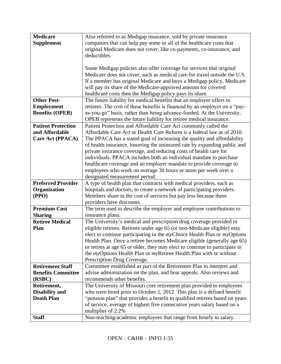| <b>Medicare</b>           | Also referred to as Medigap insurance, sold by private insurance                   |
|---------------------------|------------------------------------------------------------------------------------|
| <b>Supplement</b>         | companies that can help pay some or all of the healthcare costs that               |
|                           | original Medicare does not cover, like co-payments, co-insurance, and              |
|                           | deductibles.                                                                       |
|                           |                                                                                    |
|                           | Some Medigap policies also offer coverage for services that original               |
|                           | Medicare does not cover, such as medical care for travel outside the U.S.          |
|                           | If a member has original Medicare and buys a Medigap policy, Medicare              |
|                           | will pay its share of the Medicare-approved amount for covered                     |
|                           | healthcare costs then the Medigap policy pays its share.                           |
| <b>Other Post-</b>        | The future liability for medical benefits that an employer offers to               |
| <b>Employment</b>         | retirees. The cost of these benefits is financed by an employer on a "pay-         |
| <b>Benefits (OPEB)</b>    | as-you-go" basis, rather than being advance-funded. At the University,             |
|                           | OPEB represents the future liability for retiree medical insurance.                |
| <b>Patient Protection</b> | Patient Protection and Affordable Care Act commonly called the                     |
| and Affordable            | Affordable Care Act or Health Care Reform is a federal law as of 2010.             |
| <b>Care Act (PPACA)</b>   | The PPACA has a stated goal of increasing the quality and affordability            |
|                           | of health insurance, lowering the uninsured rate by expanding public and           |
|                           |                                                                                    |
|                           | private insurance coverage, and reducing costs of health care for                  |
|                           | individuals. PPACA includes both an individual mandate to purchase                 |
|                           | healthcare coverage and an employer mandate to provide coverage to                 |
|                           | employees who work on average 30 hours or more per week over a                     |
|                           | designated measurement period.                                                     |
| <b>Preferred Provider</b> | A type of health plan that contracts with medical providers, such as               |
| Organization              | hospitals and doctors, to create a network of participating providers.             |
| (PPO)                     | Members share in the cost of services but pay less because these                   |
|                           | providers have discounts.                                                          |
| <b>Premium Cost</b>       | The term used to describe the employer and employee contributions to               |
| <b>Sharing</b>            | insurance plans.                                                                   |
| <b>Retiree Medical</b>    | The University's medical and prescription drug coverage provided to                |
| <b>Plan</b>               | eligible retirees. Retirees under age 65 (or non-Medicare eligible) may            |
|                           | elect to continue participating in the myChoice Health Plan or myOptions           |
|                           | Health Plan. Once a retiree becomes Medicare eligible (generally age 65)           |
|                           | or retires at age 65 or older, they may elect to continue to participate in        |
|                           | the <i>my</i> Options Health Plan or <i>my</i> Retiree Health Plan with or without |
|                           | Prescription Drug Coverage.                                                        |
| <b>Retirement Staff</b>   | Committee established as part of the Retirement Plan to interpret and              |
| <b>Benefits Committee</b> | advise administration on the plan, and hear appeals. Also reviews and              |
| (RSBC)                    | recommends other benefits.                                                         |
| Retirement,               | The University of Missouri core retirement plan provided to employees              |
| <b>Disability and</b>     | who were hired prior to October 1, 2012. This plan is a defined benefit            |
| <b>Death Plan</b>         | "pension plan" that provides a benefit to qualified retirees based on years        |
|                           | of service, average of highest five consecutive years salary based on a            |
|                           | multiplier of 2.2%                                                                 |
| <b>Staff</b>              | Non-teaching/academic employees that range from hourly to salary.                  |